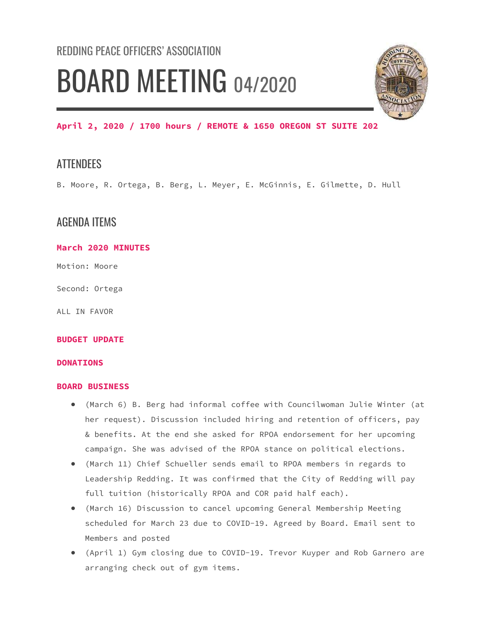# REDDING PEACE OFFICERS' ASSOCIATION BOARD MEETING 04/2020



## April 2, 2020 / 1700 hours / REMOTE & 1650 OREGON ST SUITE 202

## **ATTENDEES**

B. Moore, R. Ortega, B. Berg, L. Meyer, E. McGinnis, E. Gilmette, D. Hull

## AGENDA ITEMS

#### March 2020 MINUTES

Motion: Moore

Second: Ortega

ALL IN FAVOR

#### BUDGET UPDATE

#### DONATIONS

#### BOARD BUSINESS

- (March 6) B. Berg had informal coffee with Councilwoman Julie Winter (at her request). Discussion included hiring and retention of officers, pay & benefits. At the end she asked for RPOA endorsement for her upcoming campaign. She was advised of the RPOA stance on political elections.
- (March 11) Chief Schueller sends email to RPOA members in regards to Leadership Redding. It was confirmed that the City of Redding will pay full tuition (historically RPOA and COR paid half each).
- (March 16) Discussion to cancel upcoming General Membership Meeting scheduled for March 23 due to COVID-19. Agreed by Board. Email sent to Members and posted
- (April 1) Gym closing due to COVID-19. Trevor Kuyper and Rob Garnero are arranging check out of gym items.